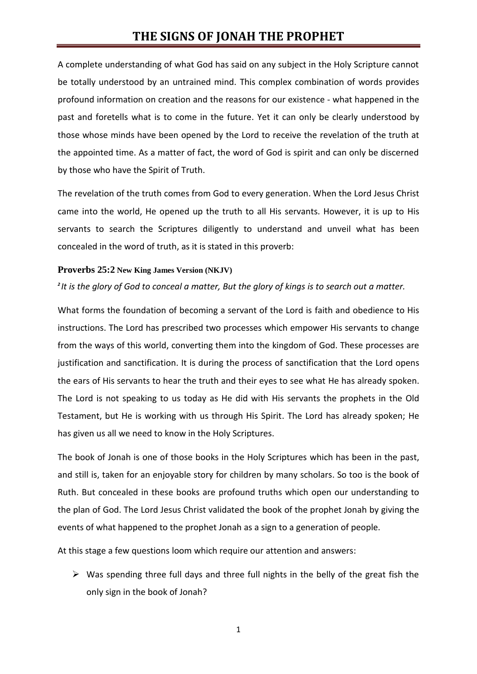A complete understanding of what God has said on any subject in the Holy Scripture cannot be totally understood by an untrained mind. This complex combination of words provides profound information on creation and the reasons for our existence - what happened in the past and foretells what is to come in the future. Yet it can only be clearly understood by those whose minds have been opened by the Lord to receive the revelation of the truth at the appointed time. As a matter of fact, the word of God is spirit and can only be discerned by those who have the Spirit of Truth.

The revelation of the truth comes from God to every generation. When the Lord Jesus Christ came into the world, He opened up the truth to all His servants. However, it is up to His servants to search the Scriptures diligently to understand and unveil what has been concealed in the word of truth, as it is stated in this proverb:

### **Proverbs 25:2 New King James Version (NKJV)**

*2 It is the glory of God to conceal a matter, But the glory of kings is to search out a matter.*

What forms the foundation of becoming a servant of the Lord is faith and obedience to His instructions. The Lord has prescribed two processes which empower His servants to change from the ways of this world, converting them into the kingdom of God. These processes are justification and sanctification. It is during the process of sanctification that the Lord opens the ears of His servants to hear the truth and their eyes to see what He has already spoken. The Lord is not speaking to us today as He did with His servants the prophets in the Old Testament, but He is working with us through His Spirit. The Lord has already spoken; He has given us all we need to know in the Holy Scriptures.

The book of Jonah is one of those books in the Holy Scriptures which has been in the past, and still is, taken for an enjoyable story for children by many scholars. So too is the book of Ruth. But concealed in these books are profound truths which open our understanding to the plan of God. The Lord Jesus Christ validated the book of the prophet Jonah by giving the events of what happened to the prophet Jonah as a sign to a generation of people.

At this stage a few questions loom which require our attention and answers:

 $\triangleright$  Was spending three full days and three full nights in the belly of the great fish the only sign in the book of Jonah?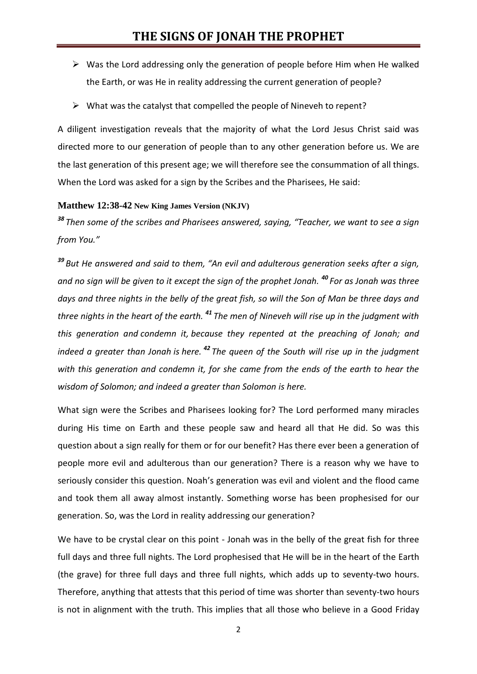- $\triangleright$  Was the Lord addressing only the generation of people before Him when He walked the Earth, or was He in reality addressing the current generation of people?
- $\triangleright$  What was the catalyst that compelled the people of Nineveh to repent?

A diligent investigation reveals that the majority of what the Lord Jesus Christ said was directed more to our generation of people than to any other generation before us. We are the last generation of this present age; we will therefore see the consummation of all things. When the Lord was asked for a sign by the Scribes and the Pharisees, He said:

## **Matthew 12:38-42 New King James Version (NKJV)**

*<sup>38</sup> Then some of the scribes and Pharisees answered, saying, "Teacher, we want to see a sign from You."*

*<sup>39</sup> But He answered and said to them, "An evil and adulterous generation seeks after a sign, and no sign will be given to it except the sign of the prophet Jonah. <sup>40</sup> For as Jonah was three days and three nights in the belly of the great fish, so will the Son of Man be three days and three nights in the heart of the earth. <sup>41</sup> The men of Nineveh will rise up in the judgment with this generation and condemn it, because they repented at the preaching of Jonah; and indeed a greater than Jonah is here. <sup>42</sup> The queen of the South will rise up in the judgment with this generation and condemn it, for she came from the ends of the earth to hear the wisdom of Solomon; and indeed a greater than Solomon is here.*

What sign were the Scribes and Pharisees looking for? The Lord performed many miracles during His time on Earth and these people saw and heard all that He did. So was this question about a sign really for them or for our benefit? Has there ever been a generation of people more evil and adulterous than our generation? There is a reason why we have to seriously consider this question. Noah's generation was evil and violent and the flood came and took them all away almost instantly. Something worse has been prophesised for our generation. So, was the Lord in reality addressing our generation?

We have to be crystal clear on this point - Jonah was in the belly of the great fish for three full days and three full nights. The Lord prophesised that He will be in the heart of the Earth (the grave) for three full days and three full nights, which adds up to seventy-two hours. Therefore, anything that attests that this period of time was shorter than seventy-two hours is not in alignment with the truth. This implies that all those who believe in a Good Friday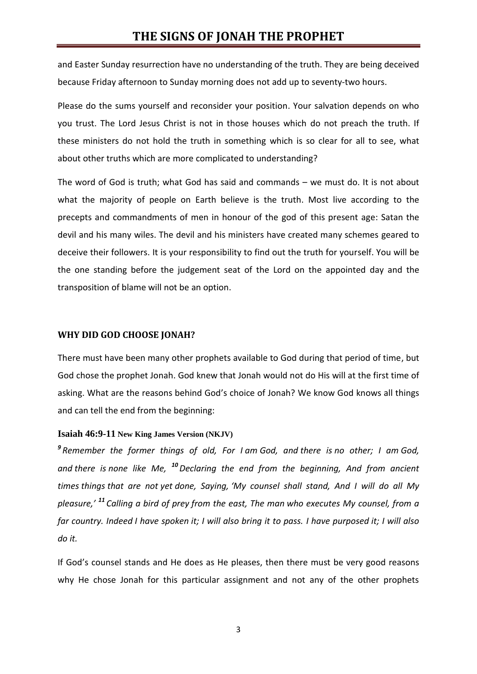and Easter Sunday resurrection have no understanding of the truth. They are being deceived because Friday afternoon to Sunday morning does not add up to seventy-two hours.

Please do the sums yourself and reconsider your position. Your salvation depends on who you trust. The Lord Jesus Christ is not in those houses which do not preach the truth. If these ministers do not hold the truth in something which is so clear for all to see, what about other truths which are more complicated to understanding?

The word of God is truth; what God has said and commands – we must do. It is not about what the majority of people on Earth believe is the truth. Most live according to the precepts and commandments of men in honour of the god of this present age: Satan the devil and his many wiles. The devil and his ministers have created many schemes geared to deceive their followers. It is your responsibility to find out the truth for yourself. You will be the one standing before the judgement seat of the Lord on the appointed day and the transposition of blame will not be an option.

### **WHY DID GOD CHOOSE JONAH?**

There must have been many other prophets available to God during that period of time, but God chose the prophet Jonah. God knew that Jonah would not do His will at the first time of asking. What are the reasons behind God's choice of Jonah? We know God knows all things and can tell the end from the beginning:

#### **Isaiah 46:9-11 New King James Version (NKJV)**

*9 Remember the former things of old, For I am God, and there is no other; I am God, and there is none like Me, <sup>10</sup>Declaring the end from the beginning, And from ancient times things that are not yet done, Saying, 'My counsel shall stand, And I will do all My pleasure,' <sup>11</sup> Calling a bird of prey from the east, The man who executes My counsel, from a far country. Indeed I have spoken it; I will also bring it to pass. I have purposed it; I will also do it.*

If God's counsel stands and He does as He pleases, then there must be very good reasons why He chose Jonah for this particular assignment and not any of the other prophets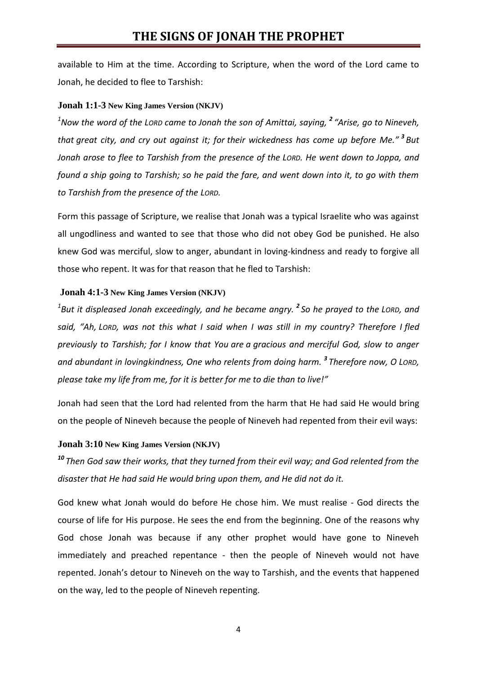available to Him at the time. According to Scripture, when the word of the Lord came to Jonah, he decided to flee to Tarshish:

## **Jonah 1:1-3 New King James Version (NKJV)**

*<sup>1</sup>Now the word of the LORD came to Jonah the son of Amittai, saying, <sup>2</sup> "Arise, go to Nineveh, that great city, and cry out against it; for their wickedness has come up before Me." <sup>3</sup> But Jonah arose to flee to Tarshish from the presence of the LORD. He went down to Joppa, and found a ship going to Tarshish; so he paid the fare, and went down into it, to go with them to Tarshish from the presence of the LORD.*

Form this passage of Scripture, we realise that Jonah was a typical Israelite who was against all ungodliness and wanted to see that those who did not obey God be punished. He also knew God was merciful, slow to anger, abundant in loving-kindness and ready to forgive all those who repent. It was for that reason that he fled to Tarshish:

## **Jonah 4:1-3 New King James Version (NKJV)**

*1 But it displeased Jonah exceedingly, and he became angry. <sup>2</sup> So he prayed to the LORD, and said, "Ah, LORD, was not this what I said when I was still in my country? Therefore I fled previously to Tarshish; for I know that You are a gracious and merciful God, slow to anger and abundant in lovingkindness, One who relents from doing harm. <sup>3</sup> Therefore now, O LORD, please take my life from me, for it is better for me to die than to live!"*

Jonah had seen that the Lord had relented from the harm that He had said He would bring on the people of Nineveh because the people of Nineveh had repented from their evil ways:

## **Jonah 3:10 New King James Version (NKJV)**

*<sup>10</sup> Then God saw their works, that they turned from their evil way; and God relented from the disaster that He had said He would bring upon them, and He did not do it.*

God knew what Jonah would do before He chose him. We must realise - God directs the course of life for His purpose. He sees the end from the beginning. One of the reasons why God chose Jonah was because if any other prophet would have gone to Nineveh immediately and preached repentance - then the people of Nineveh would not have repented. Jonah's detour to Nineveh on the way to Tarshish, and the events that happened on the way, led to the people of Nineveh repenting.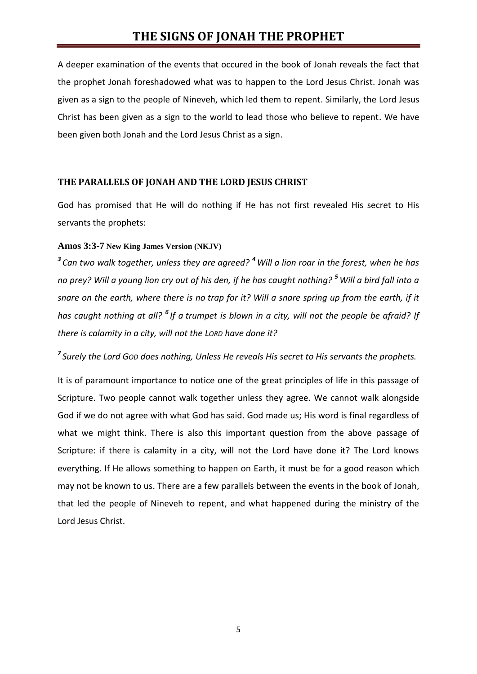A deeper examination of the events that occured in the book of Jonah reveals the fact that the prophet Jonah foreshadowed what was to happen to the Lord Jesus Christ. Jonah was given as a sign to the people of Nineveh, which led them to repent. Similarly, the Lord Jesus Christ has been given as a sign to the world to lead those who believe to repent. We have been given both Jonah and the Lord Jesus Christ as a sign.

## **THE PARALLELS OF JONAH AND THE LORD JESUS CHRIST**

God has promised that He will do nothing if He has not first revealed His secret to His servants the prophets:

## **Amos 3:3-7 New King James Version (NKJV)**

*3 Can two walk together, unless they are agreed? <sup>4</sup> Will a lion roar in the forest, when he has no prey? Will a young lion cry out of his den, if he has caught nothing? <sup>5</sup> Will a bird fall into a snare on the earth, where there is no trap for it? Will a snare spring up from the earth, if it has caught nothing at all? <sup>6</sup> If a trumpet is blown in a city, will not the people be afraid? If there is calamity in a city, will not the LORD have done it?*

*7 Surely the Lord GOD does nothing, Unless He reveals His secret to His servants the prophets.*

It is of paramount importance to notice one of the great principles of life in this passage of Scripture. Two people cannot walk together unless they agree. We cannot walk alongside God if we do not agree with what God has said. God made us; His word is final regardless of what we might think. There is also this important question from the above passage of Scripture: if there is calamity in a city, will not the Lord have done it? The Lord knows everything. If He allows something to happen on Earth, it must be for a good reason which may not be known to us. There are a few parallels between the events in the book of Jonah, that led the people of Nineveh to repent, and what happened during the ministry of the Lord Jesus Christ.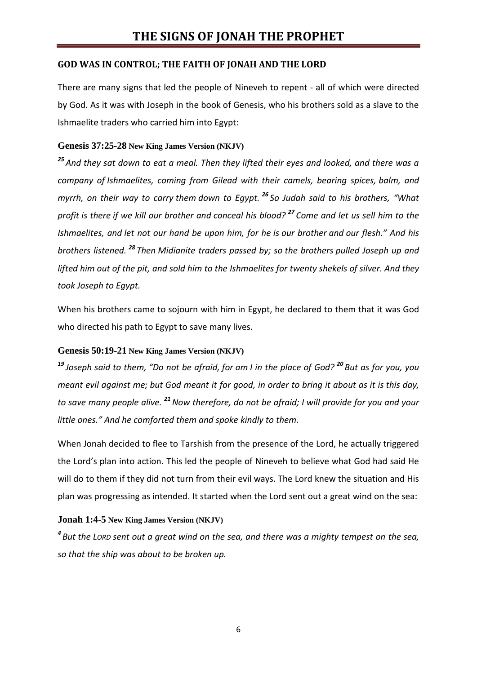## **GOD WAS IN CONTROL; THE FAITH OF JONAH AND THE LORD**

There are many signs that led the people of Nineveh to repent - all of which were directed by God. As it was with Joseph in the book of Genesis, who his brothers sold as a slave to the Ishmaelite traders who carried him into Egypt:

## **Genesis 37:25-28 New King James Version (NKJV)**

*<sup>25</sup> And they sat down to eat a meal. Then they lifted their eyes and looked, and there was a company of Ishmaelites, coming from Gilead with their camels, bearing spices, balm, and myrrh, on their way to carry them down to Egypt. <sup>26</sup> So Judah said to his brothers, "What profit is there if we kill our brother and conceal his blood? <sup>27</sup> Come and let us sell him to the Ishmaelites, and let not our hand be upon him, for he is our brother and our flesh." And his brothers listened. <sup>28</sup> Then Midianite traders passed by; so the brothers pulled Joseph up and lifted him out of the pit, and sold him to the Ishmaelites for twenty shekels of silver. And they took Joseph to Egypt.*

When his brothers came to sojourn with him in Egypt, he declared to them that it was God who directed his path to Egypt to save many lives.

## **Genesis 50:19-21 New King James Version (NKJV)**

*<sup>19</sup> Joseph said to them, "Do not be afraid, for am I in the place of God? <sup>20</sup> But as for you, you meant evil against me; but God meant it for good, in order to bring it about as it is this day, to save many people alive. <sup>21</sup>Now therefore, do not be afraid; I will provide for you and your little ones." And he comforted them and spoke kindly to them.*

When Jonah decided to flee to Tarshish from the presence of the Lord, he actually triggered the Lord's plan into action. This led the people of Nineveh to believe what God had said He will do to them if they did not turn from their evil ways. The Lord knew the situation and His plan was progressing as intended. It started when the Lord sent out a great wind on the sea:

# **Jonah 1:4-5 New King James Version (NKJV)**

*4 But the LORD sent out a great wind on the sea, and there was a mighty tempest on the sea, so that the ship was about to be broken up.*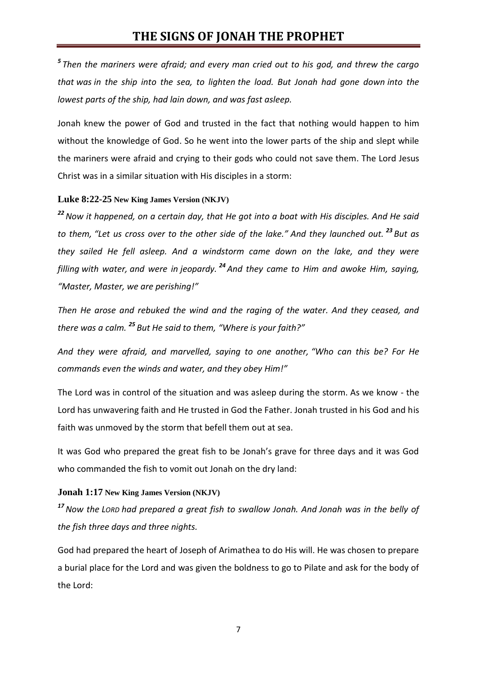*5 Then the mariners were afraid; and every man cried out to his god, and threw the cargo that was in the ship into the sea, to lighten the load. But Jonah had gone down into the lowest parts of the ship, had lain down, and was fast asleep.*

Jonah knew the power of God and trusted in the fact that nothing would happen to him without the knowledge of God. So he went into the lower parts of the ship and slept while the mariners were afraid and crying to their gods who could not save them. The Lord Jesus Christ was in a similar situation with His disciples in a storm:

#### **Luke 8:22-25 New King James Version (NKJV)**

*<sup>22</sup>Now it happened, on a certain day, that He got into a boat with His disciples. And He said to them, "Let us cross over to the other side of the lake." And they launched out. <sup>23</sup> But as they sailed He fell asleep. And a windstorm came down on the lake, and they were filling with water, and were in jeopardy. <sup>24</sup> And they came to Him and awoke Him, saying, "Master, Master, we are perishing!"*

*Then He arose and rebuked the wind and the raging of the water. And they ceased, and there was a calm. <sup>25</sup> But He said to them, "Where is your faith?"*

*And they were afraid, and marvelled, saying to one another, "Who can this be? For He commands even the winds and water, and they obey Him!"*

The Lord was in control of the situation and was asleep during the storm. As we know - the Lord has unwavering faith and He trusted in God the Father. Jonah trusted in his God and his faith was unmoved by the storm that befell them out at sea.

It was God who prepared the great fish to be Jonah's grave for three days and it was God who commanded the fish to vomit out Jonah on the dry land:

#### **Jonah 1:17 New King James Version (NKJV)**

*<sup>17</sup>Now the LORD had prepared a great fish to swallow Jonah. And Jonah was in the belly of the fish three days and three nights.*

God had prepared the heart of Joseph of Arimathea to do His will. He was chosen to prepare a burial place for the Lord and was given the boldness to go to Pilate and ask for the body of the Lord: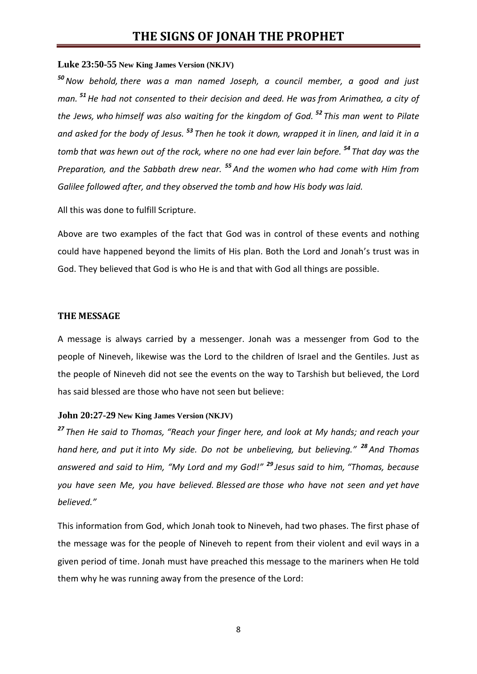#### **Luke 23:50-55 New King James Version (NKJV)**

*<sup>50</sup>Now behold, there was a man named Joseph, a council member, a good and just man. <sup>51</sup>He had not consented to their decision and deed. He was from Arimathea, a city of the Jews, who himself was also waiting for the kingdom of God. <sup>52</sup> This man went to Pilate and asked for the body of Jesus. <sup>53</sup> Then he took it down, wrapped it in linen, and laid it in a tomb that was hewn out of the rock, where no one had ever lain before. <sup>54</sup> That day was the Preparation, and the Sabbath drew near. <sup>55</sup> And the women who had come with Him from Galilee followed after, and they observed the tomb and how His body was laid.*

All this was done to fulfill Scripture.

Above are two examples of the fact that God was in control of these events and nothing could have happened beyond the limits of His plan. Both the Lord and Jonah's trust was in God. They believed that God is who He is and that with God all things are possible.

### **THE MESSAGE**

A message is always carried by a messenger. Jonah was a messenger from God to the people of Nineveh, likewise was the Lord to the children of Israel and the Gentiles. Just as the people of Nineveh did not see the events on the way to Tarshish but believed, the Lord has said blessed are those who have not seen but believe:

#### **John 20:27-29 New King James Version (NKJV)**

*<sup>27</sup> Then He said to Thomas, "Reach your finger here, and look at My hands; and reach your hand here, and put it into My side. Do not be unbelieving, but believing." <sup>28</sup> And Thomas answered and said to Him, "My Lord and my God!" <sup>29</sup> Jesus said to him, "Thomas, because you have seen Me, you have believed. Blessed are those who have not seen and yet have believed."*

This information from God, which Jonah took to Nineveh, had two phases. The first phase of the message was for the people of Nineveh to repent from their violent and evil ways in a given period of time. Jonah must have preached this message to the mariners when He told them why he was running away from the presence of the Lord: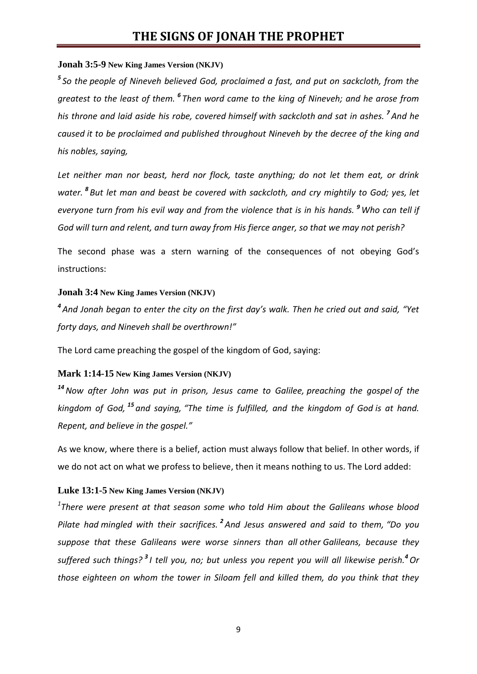## **Jonah 3:5-9 New King James Version (NKJV)**

*5 So the people of Nineveh believed God, proclaimed a fast, and put on sackcloth, from the greatest to the least of them. <sup>6</sup> Then word came to the king of Nineveh; and he arose from his throne and laid aside his robe, covered himself with sackcloth and sat in ashes. <sup>7</sup> And he caused it to be proclaimed and published throughout Nineveh by the decree of the king and his nobles, saying,*

*Let neither man nor beast, herd nor flock, taste anything; do not let them eat, or drink water. <sup>8</sup> But let man and beast be covered with sackcloth, and cry mightily to God; yes, let everyone turn from his evil way and from the violence that is in his hands. <sup>9</sup> Who can tell if God will turn and relent, and turn away from His fierce anger, so that we may not perish?*

The second phase was a stern warning of the consequences of not obeying God's instructions:

### **Jonah 3:4 New King James Version (NKJV)**

*4 And Jonah began to enter the city on the first day's walk. Then he cried out and said, "Yet forty days, and Nineveh shall be overthrown!"*

The Lord came preaching the gospel of the kingdom of God, saying:

## **Mark 1:14-15 New King James Version (NKJV)**

*<sup>14</sup>Now after John was put in prison, Jesus came to Galilee, preaching the gospel of the kingdom of God, <sup>15</sup> and saying, "The time is fulfilled, and the kingdom of God is at hand. Repent, and believe in the gospel."*

As we know, where there is a belief, action must always follow that belief. In other words, if we do not act on what we profess to believe, then it means nothing to us. The Lord added:

## **Luke 13:1-5 New King James Version (NKJV)**

*1 There were present at that season some who told Him about the Galileans whose blood Pilate had mingled with their sacrifices. <sup>2</sup> And Jesus answered and said to them, "Do you suppose that these Galileans were worse sinners than all other Galileans, because they suffered such things? <sup>3</sup> I tell you, no; but unless you repent you will all likewise perish.<sup>4</sup>Or those eighteen on whom the tower in Siloam fell and killed them, do you think that they*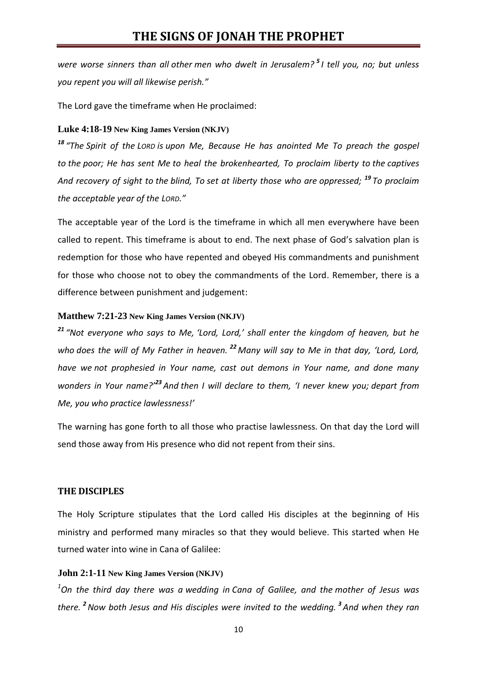*were worse sinners than all other men who dwelt in Jerusalem? <sup>5</sup> I tell you, no; but unless you repent you will all likewise perish."*

The Lord gave the timeframe when He proclaimed:

## **Luke 4:18-19 New King James Version (NKJV)**

*<sup>18</sup> "The Spirit of the LORD is upon Me, Because He has anointed Me To preach the gospel to the poor; He has sent Me to heal the brokenhearted, To proclaim liberty to the captives And recovery of sight to the blind, To set at liberty those who are oppressed; <sup>19</sup> To proclaim the acceptable year of the LORD."*

The acceptable year of the Lord is the timeframe in which all men everywhere have been called to repent. This timeframe is about to end. The next phase of God's salvation plan is redemption for those who have repented and obeyed His commandments and punishment for those who choose not to obey the commandments of the Lord. Remember, there is a difference between punishment and judgement:

## **Matthew 7:21-23 New King James Version (NKJV)**

*<sup>21</sup> "Not everyone who says to Me, 'Lord, Lord,' shall enter the kingdom of heaven, but he who does the will of My Father in heaven. <sup>22</sup> Many will say to Me in that day, 'Lord, Lord, have we not prophesied in Your name, cast out demons in Your name, and done many wonders in Your name?'<sup>23</sup> And then I will declare to them, 'I never knew you; depart from Me, you who practice lawlessness!'*

The warning has gone forth to all those who practise lawlessness. On that day the Lord will send those away from His presence who did not repent from their sins.

# **THE DISCIPLES**

The Holy Scripture stipulates that the Lord called His disciples at the beginning of His ministry and performed many miracles so that they would believe. This started when He turned water into wine in Cana of Galilee:

## **John 2:1-11 New King James Version (NKJV)**

*<sup>1</sup>On the third day there was a wedding in Cana of Galilee, and the mother of Jesus was there. <sup>2</sup>Now both Jesus and His disciples were invited to the wedding. <sup>3</sup> And when they ran*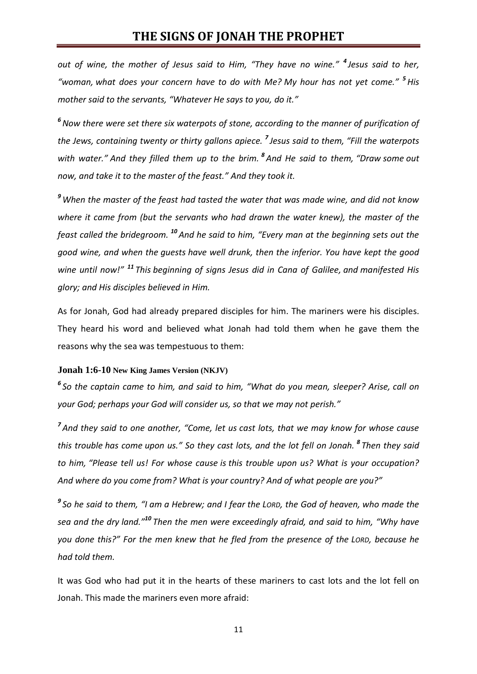*out of wine, the mother of Jesus said to Him, "They have no wine." <sup>4</sup> Jesus said to her, "woman, what does your concern have to do with Me? My hour has not yet come." <sup>5</sup>His mother said to the servants, "Whatever He says to you, do it."*

*<sup>6</sup>Now there were set there six waterpots of stone, according to the manner of purification of the Jews, containing twenty or thirty gallons apiece. <sup>7</sup> Jesus said to them, "Fill the waterpots with water." And they filled them up to the brim. <sup>8</sup> And He said to them, "Draw some out now, and take it to the master of the feast." And they took it.*

*<sup>9</sup> When the master of the feast had tasted the water that was made wine, and did not know where it came from (but the servants who had drawn the water knew), the master of the feast called the bridegroom. <sup>10</sup> And he said to him, "Every man at the beginning sets out the good wine, and when the guests have well drunk, then the inferior. You have kept the good wine until now!" <sup>11</sup> This beginning of signs Jesus did in Cana of Galilee, and manifested His glory; and His disciples believed in Him.*

As for Jonah, God had already prepared disciples for him. The mariners were his disciples. They heard his word and believed what Jonah had told them when he gave them the reasons why the sea was tempestuous to them:

### **Jonah 1:6-10 New King James Version (NKJV)**

*6 So the captain came to him, and said to him, "What do you mean, sleeper? Arise, call on your God; perhaps your God will consider us, so that we may not perish."*

*7 And they said to one another, "Come, let us cast lots, that we may know for whose cause this trouble has come upon us." So they cast lots, and the lot fell on Jonah. <sup>8</sup> Then they said to him, "Please tell us! For whose cause is this trouble upon us? What is your occupation? And where do you come from? What is your country? And of what people are you?"*

*9 So he said to them, "I am a Hebrew; and I fear the LORD, the God of heaven, who made the sea and the dry land." <sup>10</sup> Then the men were exceedingly afraid, and said to him, "Why have you done this?" For the men knew that he fled from the presence of the LORD, because he had told them.*

It was God who had put it in the hearts of these mariners to cast lots and the lot fell on Jonah. This made the mariners even more afraid: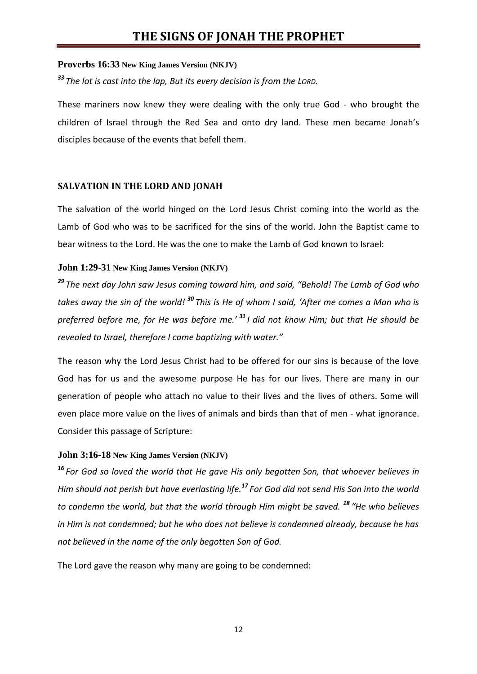# **Proverbs 16:33 New King James Version (NKJV)**

*<sup>33</sup> The lot is cast into the lap, But its every decision is from the LORD.*

These mariners now knew they were dealing with the only true God - who brought the children of Israel through the Red Sea and onto dry land. These men became Jonah's disciples because of the events that befell them.

# **SALVATION IN THE LORD AND JONAH**

The salvation of the world hinged on the Lord Jesus Christ coming into the world as the Lamb of God who was to be sacrificed for the sins of the world. John the Baptist came to bear witness to the Lord. He was the one to make the Lamb of God known to Israel:

# **John 1:29-31 New King James Version (NKJV)**

*<sup>29</sup> The next day John saw Jesus coming toward him, and said, "Behold! The Lamb of God who takes away the sin of the world! <sup>30</sup> This is He of whom I said, 'After me comes a Man who is preferred before me, for He was before me.' <sup>31</sup> I did not know Him; but that He should be revealed to Israel, therefore I came baptizing with water."*

The reason why the Lord Jesus Christ had to be offered for our sins is because of the love God has for us and the awesome purpose He has for our lives. There are many in our generation of people who attach no value to their lives and the lives of others. Some will even place more value on the lives of animals and birds than that of men - what ignorance. Consider this passage of Scripture:

# **John 3:16-18 New King James Version (NKJV)**

*<sup>16</sup> For God so loved the world that He gave His only begotten Son, that whoever believes in Him should not perish but have everlasting life.<sup>17</sup> For God did not send His Son into the world to condemn the world, but that the world through Him might be saved. <sup>18</sup> "He who believes in Him is not condemned; but he who does not believe is condemned already, because he has not believed in the name of the only begotten Son of God.*

The Lord gave the reason why many are going to be condemned: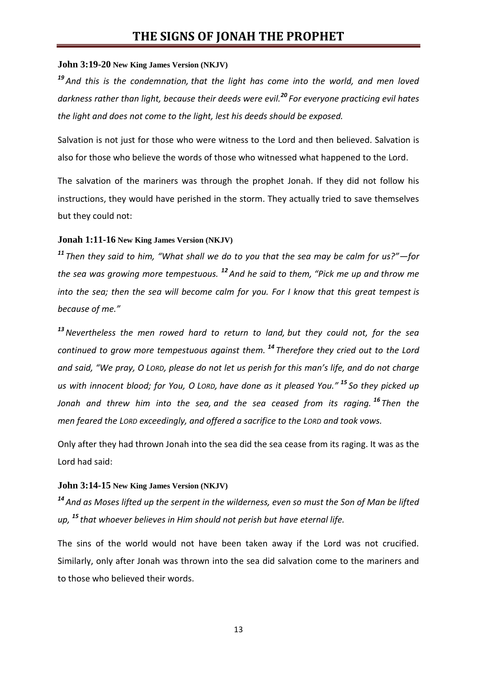# **John 3:19-20 New King James Version (NKJV)**

*<sup>19</sup> And this is the condemnation, that the light has come into the world, and men loved darkness rather than light, because their deeds were evil.<sup>20</sup> For everyone practicing evil hates the light and does not come to the light, lest his deeds should be exposed.*

Salvation is not just for those who were witness to the Lord and then believed. Salvation is also for those who believe the words of those who witnessed what happened to the Lord.

The salvation of the mariners was through the prophet Jonah. If they did not follow his instructions, they would have perished in the storm. They actually tried to save themselves but they could not:

#### **Jonah 1:11-16 New King James Version (NKJV)**

*<sup>11</sup> Then they said to him, "What shall we do to you that the sea may be calm for us?"—for the sea was growing more tempestuous. <sup>12</sup> And he said to them, "Pick me up and throw me into the sea; then the sea will become calm for you. For I know that this great tempest is because of me."*

*<sup>13</sup>Nevertheless the men rowed hard to return to land, but they could not, for the sea continued to grow more tempestuous against them. <sup>14</sup> Therefore they cried out to the Lord and said, "We pray, O LORD, please do not let us perish for this man's life, and do not charge us with innocent blood; for You, O LORD, have done as it pleased You." <sup>15</sup> So they picked up Jonah and threw him into the sea, and the sea ceased from its raging. <sup>16</sup> Then the men feared the LORD exceedingly, and offered a sacrifice to the LORD and took vows.*

Only after they had thrown Jonah into the sea did the sea cease from its raging. It was as the Lord had said:

### **John 3:14-15 New King James Version (NKJV)**

*<sup>14</sup> And as Moses lifted up the serpent in the wilderness, even so must the Son of Man be lifted up, <sup>15</sup> that whoever believes in Him should not perish but have eternal life.*

The sins of the world would not have been taken away if the Lord was not crucified. Similarly, only after Jonah was thrown into the sea did salvation come to the mariners and to those who believed their words.

13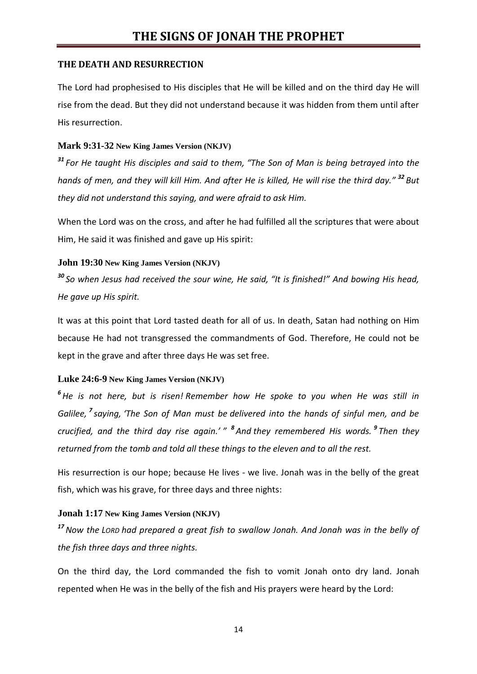## **THE DEATH AND RESURRECTION**

The Lord had prophesised to His disciples that He will be killed and on the third day He will rise from the dead. But they did not understand because it was hidden from them until after His resurrection.

# **Mark 9:31-32 New King James Version (NKJV)**

*<sup>31</sup> For He taught His disciples and said to them, "The Son of Man is being betrayed into the hands of men, and they will kill Him. And after He is killed, He will rise the third day." <sup>32</sup> But they did not understand this saying, and were afraid to ask Him.*

When the Lord was on the cross, and after he had fulfilled all the scriptures that were about Him, He said it was finished and gave up His spirit:

## **John 19:30 New King James Version (NKJV)**

*<sup>30</sup> So when Jesus had received the sour wine, He said, "It is finished!" And bowing His head, He gave up His spirit.*

It was at this point that Lord tasted death for all of us. In death, Satan had nothing on Him because He had not transgressed the commandments of God. Therefore, He could not be kept in the grave and after three days He was set free.

# **Luke 24:6-9 New King James Version (NKJV)**

*<sup>6</sup>He is not here, but is risen! Remember how He spoke to you when He was still in Galilee, <sup>7</sup> saying, 'The Son of Man must be delivered into the hands of sinful men, and be crucified, and the third day rise again.' "* <sup>8</sup> And they remembered His words. <sup>9</sup> Then they *returned from the tomb and told all these things to the eleven and to all the rest.*

His resurrection is our hope; because He lives - we live. Jonah was in the belly of the great fish, which was his grave, for three days and three nights:

# **Jonah 1:17 New King James Version (NKJV)**

*<sup>17</sup>Now the LORD had prepared a great fish to swallow Jonah. And Jonah was in the belly of the fish three days and three nights.*

On the third day, the Lord commanded the fish to vomit Jonah onto dry land. Jonah repented when He was in the belly of the fish and His prayers were heard by the Lord: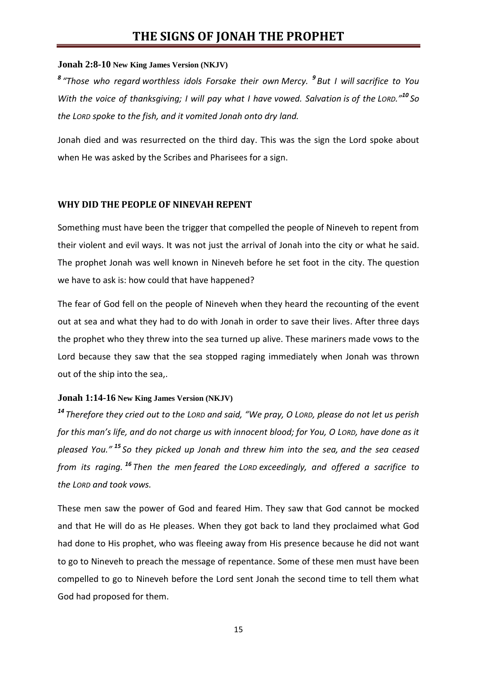#### **Jonah 2:8-10 New King James Version (NKJV)**

*8 "Those who regard worthless idols Forsake their own Mercy. <sup>9</sup> But I will sacrifice to You With the voice of thanksgiving; I will pay what I have vowed. Salvation is of the LORD."<sup>10</sup> So the LORD spoke to the fish, and it vomited Jonah onto dry land.*

Jonah died and was resurrected on the third day. This was the sign the Lord spoke about when He was asked by the Scribes and Pharisees for a sign.

#### **WHY DID THE PEOPLE OF NINEVAH REPENT**

Something must have been the trigger that compelled the people of Nineveh to repent from their violent and evil ways. It was not just the arrival of Jonah into the city or what he said. The prophet Jonah was well known in Nineveh before he set foot in the city. The question we have to ask is: how could that have happened?

The fear of God fell on the people of Nineveh when they heard the recounting of the event out at sea and what they had to do with Jonah in order to save their lives. After three days the prophet who they threw into the sea turned up alive. These mariners made vows to the Lord because they saw that the sea stopped raging immediately when Jonah was thrown out of the ship into the sea,.

#### **Jonah 1:14-16 New King James Version (NKJV)**

*<sup>14</sup> Therefore they cried out to the LORD and said, "We pray, O LORD, please do not let us perish for this man's life, and do not charge us with innocent blood; for You, O LORD, have done as it pleased You." <sup>15</sup> So they picked up Jonah and threw him into the sea, and the sea ceased from its raging. <sup>16</sup> Then the men feared the LORD exceedingly, and offered a sacrifice to the LORD and took vows.*

These men saw the power of God and feared Him. They saw that God cannot be mocked and that He will do as He pleases. When they got back to land they proclaimed what God had done to His prophet, who was fleeing away from His presence because he did not want to go to Nineveh to preach the message of repentance. Some of these men must have been compelled to go to Nineveh before the Lord sent Jonah the second time to tell them what God had proposed for them.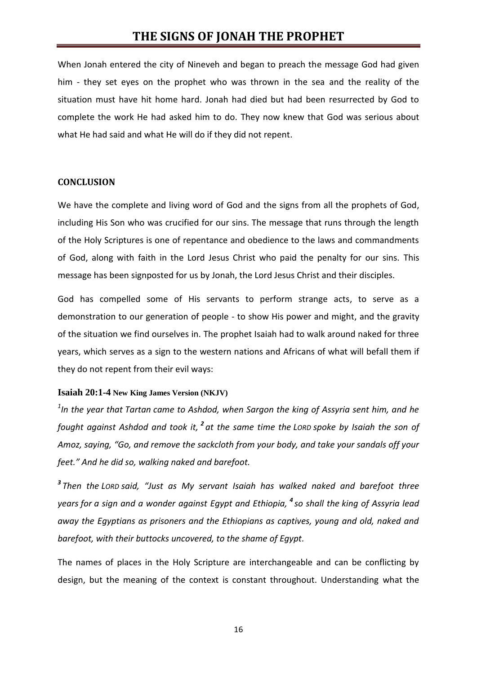When Jonah entered the city of Nineveh and began to preach the message God had given him - they set eyes on the prophet who was thrown in the sea and the reality of the situation must have hit home hard. Jonah had died but had been resurrected by God to complete the work He had asked him to do. They now knew that God was serious about what He had said and what He will do if they did not repent.

### **CONCLUSION**

We have the complete and living word of God and the signs from all the prophets of God, including His Son who was crucified for our sins. The message that runs through the length of the Holy Scriptures is one of repentance and obedience to the laws and commandments of God, along with faith in the Lord Jesus Christ who paid the penalty for our sins. This message has been signposted for us by Jonah, the Lord Jesus Christ and their disciples.

God has compelled some of His servants to perform strange acts, to serve as a demonstration to our generation of people - to show His power and might, and the gravity of the situation we find ourselves in. The prophet Isaiah had to walk around naked for three years, which serves as a sign to the western nations and Africans of what will befall them if they do not repent from their evil ways:

#### **Isaiah 20:1-4 New King James Version (NKJV)**

*1 In the year that Tartan came to Ashdod, when Sargon the king of Assyria sent him, and he fought against Ashdod and took it, <sup>2</sup> at the same time the LORD spoke by Isaiah the son of Amoz, saying, "Go, and remove the sackcloth from your body, and take your sandals off your feet." And he did so, walking naked and barefoot.*

*3 Then the LORD said, "Just as My servant Isaiah has walked naked and barefoot three years for a sign and a wonder against Egypt and Ethiopia, <sup>4</sup> so shall the king of Assyria lead away the Egyptians as prisoners and the Ethiopians as captives, young and old, naked and barefoot, with their buttocks uncovered, to the shame of Egypt.*

The names of places in the Holy Scripture are interchangeable and can be conflicting by design, but the meaning of the context is constant throughout. Understanding what the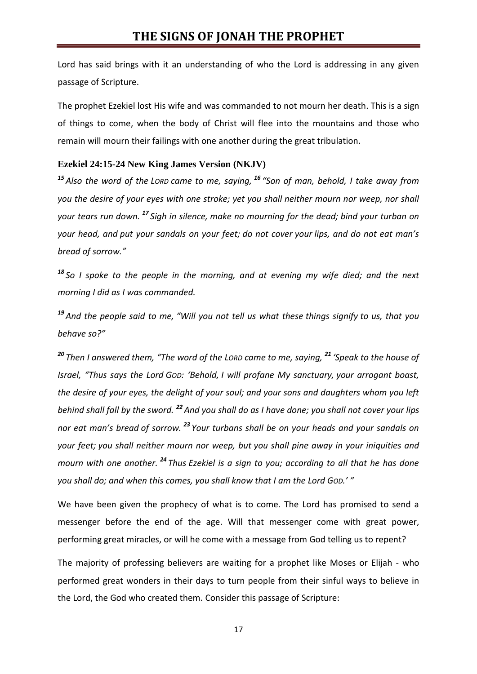Lord has said brings with it an understanding of who the Lord is addressing in any given passage of Scripture.

The prophet Ezekiel lost His wife and was commanded to not mourn her death. This is a sign of things to come, when the body of Christ will flee into the mountains and those who remain will mourn their failings with one another during the great tribulation.

## **Ezekiel 24:15-24 New King James Version (NKJV)**

*<sup>15</sup> Also the word of the LORD came to me, saying, <sup>16</sup> "Son of man, behold, I take away from you the desire of your eyes with one stroke; yet you shall neither mourn nor weep, nor shall your tears run down. <sup>17</sup> Sigh in silence, make no mourning for the dead; bind your turban on your head, and put your sandals on your feet; do not cover your lips, and do not eat man's bread of sorrow."*

*<sup>18</sup> So I spoke to the people in the morning, and at evening my wife died; and the next morning I did as I was commanded.*

*<sup>19</sup> And the people said to me, "Will you not tell us what these things signify to us, that you behave so?"*

*<sup>20</sup> Then I answered them, "The word of the LORD came to me, saying, <sup>21</sup> 'Speak to the house of Israel, "Thus says the Lord GOD: 'Behold, I will profane My sanctuary, your arrogant boast, the desire of your eyes, the delight of your soul; and your sons and daughters whom you left behind shall fall by the sword. <sup>22</sup> And you shall do as I have done; you shall not cover your lips nor eat man's bread of sorrow. <sup>23</sup> Your turbans shall be on your heads and your sandals on your feet; you shall neither mourn nor weep, but you shall pine away in your iniquities and mourn with one another. <sup>24</sup> Thus Ezekiel is a sign to you; according to all that he has done you shall do; and when this comes, you shall know that I am the Lord GOD.' "*

We have been given the prophecy of what is to come. The Lord has promised to send a messenger before the end of the age. Will that messenger come with great power, performing great miracles, or will he come with a message from God telling us to repent?

The majority of professing believers are waiting for a prophet like Moses or Elijah - who performed great wonders in their days to turn people from their sinful ways to believe in the Lord, the God who created them. Consider this passage of Scripture:

17